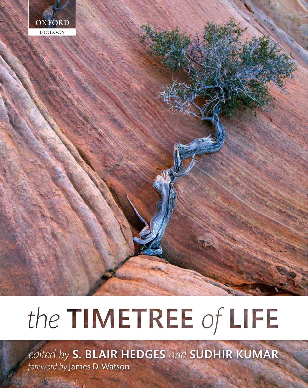

# the TIMETREE of LIFE

edited by S. BLAIR HEDGES and SUDHIR KUMAR foreword by James D. Watson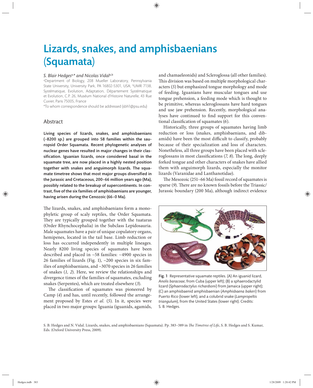# Lizards, snakes, and amphisbaenians (Squamata)

#### *S. Blair Hedges*a,*\* and Nicolas Vidal*a,b

a Department of Biology, 208 Mueller Laboratory, Pennsylvania State University, University Park, PA 16802-5301, USA; bUMR 7138, Systématique, Evolution, Adaptation, Département Systématique et Evolution, C.P. 26, Muséum National d'Histoire Naturelle, 43 Rue Cuvier, Paris 75005, France

\*To whom correspondence should be addressed (sbh1@psu.edu)

## Abstract

Living species of lizards, snakes, and amphisbaenians  $(-8200 \text{ sp.})$  are grouped into 58 families within the sauropsid Order Squamata. Recent phylogenetic analyses of nuclear genes have resulted in major changes in their classification. Iguanian lizards, once considered basal in the squamate tree, are now placed in a highly nested position together with snakes and anguimorph lizards. The squamate timetree shows that most major groups diversified in the Jurassic and Cretaceous, 200–66 million years ago (Ma), possibly related to the breakup of supercontinents. In contrast, five of the six families of amphisbaenians are younger, having arisen during the Cenozoic (66–0 Ma).

The lizards, snakes, and amphisbaenians form a monophyletic group of scaly reptiles, the Order Squamata. They are typically grouped together with the tuataras (Order Rhynchocephalia) in the Subclass Lepidosauria. Male squamates have a pair of unique copulatory organs, hemipenes, located in the tail base. Limb reduction or loss has occurred independently in multiple lineages. Nearly 8200 living species of squamates have been described and placed in ~58 families: ~4900 species in 26 families of lizards (Fig. 1), ~200 species in six families of amphisbaenians, and ~3070 species in 26 families of snakes (*1, 2*). Here, we review the relationships and divergence times of the families of squamates, excluding snakes (Serpentes), which are treated elsewhere (*3*).

The classification of squamates was pioneered by Camp (*4*) and has, until recently, followed the arrangement proposed by Estes *et al.* (*5*). In it, species were placed in two major groups: Iguania (iguanids, agamids,

and chamaeleonids) and Scleroglossa (all other families). This division was based on multiple morphological characters (*5*) but emphasized tongue morphology and mode of feeding. Iguanians have muscular tongues and use tongue prehension, a feeding mode which is thought to be primitive, whereas scleroglossans have hard tongues and use jaw prehension. Recently, morphological analyses have continued to find support for this conventional classification of squamates (6).

Historically, three groups of squamates having limb reduction or loss (snakes, amphisbaenians, and dibamids) have been the most difficult to classify, probably because of their specialization and loss of characters. Nonetheless, all three groups have been placed with scleroglossans in most classifications (*7, 8*). The long, deeply forked tongue and other characters of snakes have allied them with anguimorph lizards, especially the monitor lizards (Varanidae and Lanthanotidae).

The Mesozoic  $(251-66$  Ma) fossil record of squamates is sparse (9). There are no known fossils before the Triassic/ Jurassic boundary (200 Ma), although indirect evidence



Fig. 1 Representative squamate reptiles. (A) An iguanid lizard, *Anolis baracoae*, from Cuba (upper left); (B) a sphaerodactylid lizard (*Sphaerodactylus richardsoni*) from Jamaica (upper right); (C) an amphisbaenid amphisbaenian (*Amphisbaena bakeri*) from Puerto Rico (lower left), and a colubrid snake (*Lampropeltis triangulum*), from the United States (lower right). Credits: S. B. Hedges.

S. B. Hedges and N. Vidal. Lizards, snakes, and amphisbaenians (Squamata). Pp. 383-389 in *The Timetree of Life*, S. B. Hedges and S. Kumar, Eds. (Oxford University Press, 2009).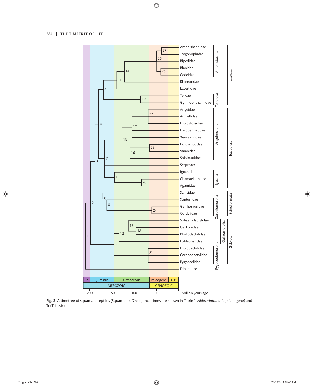

Fig. 2 A timetree of squamate reptiles (Squamata). Divergence times are shown in Table 1. *Abbreviations*: Ng (Neogene) and Tr (Triassic).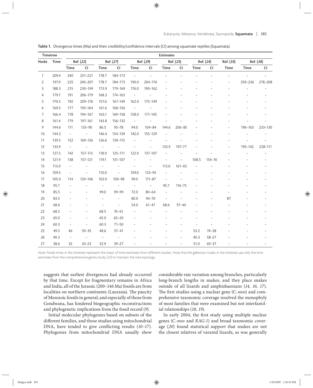| Timetree |       | <b>Estimates</b>         |                          |                          |                          |                          |                          |                          |                          |                |           |                          |                |                          |
|----------|-------|--------------------------|--------------------------|--------------------------|--------------------------|--------------------------|--------------------------|--------------------------|--------------------------|----------------|-----------|--------------------------|----------------|--------------------------|
| Node     | Time  | Ref. (22)                |                          | Ref. (27)                |                          | Ref. (29)                |                          | Ref. (25)                |                          | Ref. (24)      |           | Ref. (35)                | Ref. (38)      |                          |
|          |       | Time                     | <b>CI</b>                | Time                     | <b>CI</b>                | Time                     | <b>CI</b>                | Time                     | CI                       | Time           | CI        | Time                     | Time           | CI                       |
| 1        | 209.4 | 240                      | 251-221                  | 178.7                    | 184-173                  | $\overline{\phantom{a}}$ |                          |                          |                          |                |           | $\overline{\phantom{0}}$ | $\overline{a}$ |                          |
| 2        | 197.9 | 225                      | 240-207                  | 178.7                    | 184-173                  | 190.0                    | 204-176                  |                          |                          |                |           |                          | 250-236        | 278-208                  |
| 3        | 188.3 | 215                      | 230-199                  | 173.9                    | 179-169                  | 176.0                    | 190-162                  |                          |                          |                |           |                          |                |                          |
| 4        | 179.7 | 191                      | 206-179                  | 168.3                    | 174-163                  | $\overline{\phantom{a}}$ |                          |                          |                          |                |           |                          |                |                          |
| 5        | 170.5 | 192                      | 209-176                  | 157.6                    | 167-149                  | 162.0                    | 175-149                  |                          |                          |                |           |                          |                |                          |
| 6        | 169.3 | 177                      | 193-164                  | 161.6                    | 168-156                  | $\equiv$                 |                          |                          |                          |                |           |                          |                |                          |
| 7        | 166.4 | 178                      | 194-167                  | 163.1                    | 169-158                  | 158.0                    | $171 - 145$              |                          |                          |                |           |                          |                |                          |
| 8        | 161.4 | 179                      | 197-161                  | 143.8                    | 156-132                  | $\overline{\phantom{a}}$ |                          |                          |                          |                |           |                          |                |                          |
| 9        | 144.6 | 111                      | $133 - 90$               | 86.5                     | $95 - 78$                | 94.0                     | $104 - 84$               | 144.6                    | $206 - 85$               |                |           |                          | 196-163        | 233-130                  |
| 10       | 144.2 | $\overline{\phantom{a}}$ | $\overline{\phantom{0}}$ | 146.4                    | 154-139                  | 142.0                    | 155-129                  |                          |                          |                |           |                          |                |                          |
| 11       | 139.3 | 152                      | 169-136                  | 126.6                    | 139-115                  | $\overline{\phantom{0}}$ |                          |                          |                          |                |           |                          |                |                          |
| 12       | 133.9 | $\overline{\phantom{a}}$ |                          | $\bar{ }$                |                          |                          |                          | 133.9                    | 197-77                   |                |           |                          | 195-142        | 228-111                  |
| 13       | 127.3 | 142                      | 157-113                  | 118.0                    | 125-111                  | 122.0                    | 137-107                  |                          |                          |                |           |                          |                | $\overline{\phantom{a}}$ |
| 14       | 121.9 | 138                      | 157-121                  | 119.1                    | 131-107                  |                          |                          |                          |                          | 108.5          | 154-76    |                          |                |                          |
| 15       | 113.0 | $\overline{\phantom{a}}$ |                          | $\overline{\phantom{0}}$ | $\overline{\phantom{0}}$ | $\overline{a}$           | $\overline{\phantom{a}}$ | 113.0                    | $161 - 65$               |                |           |                          |                |                          |
| 16       | 109.5 | $\overline{\phantom{a}}$ | $\overline{\phantom{a}}$ | 110.0                    | $\overline{\phantom{a}}$ | 109.0                    | $123 - 95$               |                          |                          |                |           |                          |                |                          |
| 17       | 105.0 | 114                      | 129-106                  | 102.0                    | $100 - 98$               | 99.0                     | $111 - 87$               | $\qquad \qquad -$        |                          |                |           |                          |                |                          |
| 18       | 95.7  | $\overline{\phantom{a}}$ |                          | $\overline{\phantom{0}}$ | $\overline{\phantom{a}}$ | $\equiv$                 | $\overline{\phantom{a}}$ | 95.7                     | $116 - 75$               |                |           |                          |                |                          |
| 19       | 85.5  | $\qquad \qquad -$        |                          | 99.0                     | 99-99                    | 72.0                     | $80 - 64$                | $\qquad \qquad -$        |                          |                |           |                          |                |                          |
| 20       | 83.5  | $\overline{a}$           |                          | $\overline{a}$           | $\overline{\phantom{a}}$ | 80.0                     | $90 - 70$                | $\overline{\phantom{a}}$ |                          |                |           | 87                       |                |                          |
| 21       | 68.6  | $\overline{a}$           |                          | $\qquad \qquad -$        | $\overline{\phantom{a}}$ | 54.0                     | $61 - 47$                | 68.6                     | $97 - 40$                |                |           |                          |                |                          |
| 22       | 68.5  | $\overline{a}$           | $\overline{a}$           | 68.5                     | $76 - 61$                | $\overline{\phantom{a}}$ |                          |                          |                          |                |           |                          |                |                          |
| 23       | 65.0  | $\qquad \qquad -$        | $\overline{\phantom{0}}$ | 65.0                     | $65 - 65$                |                          |                          |                          |                          |                |           |                          |                |                          |
| 24       | 60.3  | $\overline{\phantom{a}}$ | $\overline{\phantom{a}}$ | 60.3                     | $71 - 50$                | $\overline{a}$           |                          |                          |                          | $\overline{a}$ |           |                          |                |                          |
| 25       | 49.3  | 46                       | $59 - 35$                | 48.6                     | $57 - 41$                |                          |                          |                          | $\overline{\phantom{a}}$ | 53.2           | $74 - 38$ |                          |                |                          |
| 26       | 40.3  | $\overline{\phantom{0}}$ | $\overline{\phantom{a}}$ | $\overline{\phantom{0}}$ | $\overline{\phantom{a}}$ |                          |                          |                          | $\overline{\phantom{m}}$ | 40.3           | $58 - 27$ |                          |                |                          |
| 27       | 38.6  | 32                       | $43 - 23$                | 32.9                     | $39 - 27$                |                          |                          |                          | $\overline{\phantom{0}}$ | 51.0           | $69 - 37$ |                          |                |                          |

Table 1. Divergence times (Ma) and their credibility/confidence intervals (CI) among squamate reptiles (Squamata).

Note: Node times in the timetree represent the mean of time estimates from different studies. Note that the gekkotan nodes in the timetree use only the time estimates from the comprehensive gecko study (25) to maintain the tree topology.

suggests that earliest divergences had already occurred by that time. Except for fragmentary remains in Africa and India, all of the Jurassic (200–146 Ma) fossils are from localities on northern continents (Laurasia). The paucity of Mesozoic fossils in general, and especially of those from Gondwana, has hindered biogeographic reconstructions and phylogenetic implications from the fossil record (*9*).

Initial molecular phylogenies based on subsets of the different families, and those studies using mitochondrial DNA, have tended to give conflicting results (10-17). Phylogenies from mitochondrial DNA usually show considerable rate variation among branches, particularly long-branch lengths in snakes, and they place snakes outside of all lizards and amphisbaenians (14, 16, 17). The first studies using a nuclear gene (C-mos) and comprehensive taxonomic coverage resolved the monophyly of most families that were examined but not interfamilial relationships (*18, 19*).

In early 2004, the first study using multiple nuclear genes (C-*mos* and *RAG-1*) and broad taxonomic coverage (*20*) found statistical support that snakes are not the closest relatives of varanid lizards, as was generally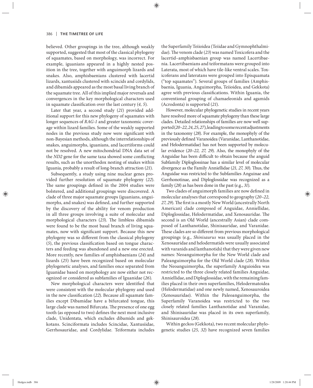believed. Other groupings in the tree, although weakly supported, suggested that most of the classical phylogeny of squamates, based on morphology, was incorrect. For example, iguanians appeared in a highly nested position in the tree, together with anguimorph lizards and snakes. Also, amphisbaenians clustered with lacertid lizards, xantusiids clustered with scincids and cordylids, and dibamids appeared as the most basal living branch of the squamate tree. All of this implied major reversals and convergences in the key morphological characters used in squamate classification over the last century (4, 5).

Later that year, a second study (21) provided additional support for this new phylogeny of squamates with longer sequences of *RAG-1* and greater taxonomic coverage within lizard families. Some of the weakly supported nodes in the previous study now were significant with non-Bayesian methods, although the interrelationships of snakes, anguimorphs, iguanians, and lacertiforms could not be resolved. A new mitochondrial DNA data set of the *ND2* gene for the same taxa showed some conflicting results, such as the unorthodox nesting of snakes within Iguania, probably a result of long-branch attraction (*21*).

Subsequently, a study using nine nuclear genes provided further resolution of squamate phylogeny (*22*). The same groupings defined in the 2004 studies were bolstered, and additional groupings were discovered. A clade of three major squamate groups (iguanians, anguimorphs, and snakes) was defined, and further supported by the discovery of the ability for venom production in all three groups involving a suite of molecular and morphological characters (23). The limbless dibamids were found to be the most basal branch of living squamates, now with significant support. Because this new phylogeny was so different from the classical phylogeny  $(5)$ , the previous classification based on tongue characters and feeding was abandoned and a new one erected. More recently, new families of amphisbaenians (*24*) and lizards (*25*) have been recognized based on molecular phylogenetic analyses, and families once separated from Iguanidae based on morphology are now either not recognized or considered as subfamilies of Iguanidae (*26*).

New morphological characters were identified that were consistent with the molecular phylogeny and used in the new classification (22). Because all squamate families except Dibamidae have a bifurcated tongue, this large clade was named Bifurcata. The presence of one egg tooth (as opposed to two) defines the next most inclusive clade, Unidentata, which excludes dibamids and gekkotans. Scinciformata includes Scincidae, Xantusiidae, Gerrhosauridae, and Cordylidae. Teiformata includes the Superfamily Teiioidea (Teiidae and Gymnophthalmidae). The venom clade (23) was named Toxicofera and the lacertid–amphisbaenian group was named Lacertibaenia. Lacertibaenians and teiformatans were grouped into Laterata, most of which have tile-like ventral scales. Toxicoferans and lateratans were grouped into Episquamata ("top squamates"). Several groups of families (Amphisbaenia, Iguania, Anguimorpha, Teiioidea, and Gekkota) agree with previous classifications. Within Iguania, the conventional grouping of chamaeleonids and agamids (Acrodonta) is supported (*21*).

However, molecular phylogenetic studies in recent years have resolved more of squamate phylogeny than these large clades. Detailed relationships of families are now well supported (*20–22, 24, 25, 27*), leading to some recent adjustments in the taxonomy (*28*). For example, the monophyly of the previously defined Varanoidea (Varanidae, Lanthanotidae, and Helodermatidae) has not been supported by molecular evidence (*20 –22, 27, 29*). Also, the monophyly of the Anguidae has been difficult to obtain because the anguid Subfamily Diploglossinae has a similar level of molecular divergence as the Family Anniellidae (21, 27, 30). Thus, the Anguidae was restricted to the Subfamilies Anguinae and Gerrhonotinae, and Diploglossidae was recognized as a family (*28*) as has been done in the past (e.g., *31*).

Two clades of anguimorph families are now defined in molecular analyses that correspond to geography (*20–22,*  27, 29). The first is a mostly New World (ancestrally North American) clade composed of Anguidae, Anniellidae, Diploglossidae, Helodermatidae, and Xenosauridae. The second is an Old World (ancestrally Asian) clade composed of Lanthanotidae, Shinisauridae, and Varanidae. These clades are so different from previous morphological groupings (e.g., *Shinisaurus* was usually placed in the Xenosauridae and helodermatids were usually associated with varanids and lanthanotids) that they were given new names: Neoanguimorpha for the New World clade and Paleanguimorpha for the Old World clade (*28*). Within the Neoanguimorpha, the superfamily Anguioidea was restricted to the three closely related families Anguidae, Anniellidae, and Diploglossidae, with the remaining families placed in their own superfamilies, Helodermatoidea (Helodermatidae) and one newly named, Xenosauroidea (Xenosauridae). Within the Paleoanguimorpha, the Superfamily Varanoidea was restricted to the two closely related families Lanthanotidae and Varanidae, and Shinisauridae was placed in its own superfamily, Shinisauroidea (*28*).

Within geckos (Gekkota), two recent molecular phylogenetic studies (*25, 32*) have recognized seven families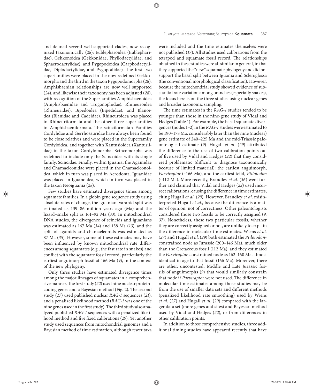and defined several well-supported clades, now recognized taxonomically (28): Eublepharoidea (Eublepharidae), Gekkonoidea (Gekkonidae, Phyllodactylidae, and Sphaerodactylidae), and Pygopodoidea (Carphodactylidae, Diplodactylidae, and Pygopodidae). The first two superfamilies were placed in the now redefined Gekkomorpha and the third in the taxon Pygopodomorpha (*28*). Amphisbaenian relationships are now well supported (*24*), and likewise their taxonomy has been adjusted (*28*), with recognition of the Superfamilies Amphisbaenoidea (Amphisbaenidae and Trogonophidae), Rhineuroidea (Rhineuridae), Bipedoidea (Bipedidae), and Blanoidea (Blanidae and Cadeidae). Rhineuroidea was placed in Rhineuriformata and the other three superfamilies in Amphisbaeniformata. The scinciformatan Families Cordylidae and Gerrhosauridae have always been found to be close relatives and were placed in the Superfamily Cordyloidea, and together with Xantusioidea (Xantusiidae) in the taxon Cordylomorpha. Scincomorpha was redefined to include only the Scincoidea with its single family, Scincidae. Finally, within Iguania, the Agamidae and Chamaeleonidae were placed in the Chamaeleonoidea, which in turn was placed in Acrodonta. Iguanidae was placed in Iguanoidea, which in turn was placed in the taxon Neoiguania (*28*).

Few studies have estimated divergence times among squamate families. In a globin gene sequence study using absolute rates of change, the iguanian–varanid split was estimated as 139–86 million years ago (Ma) and the lizard–snake split as 161–92 Ma (*33*). In mitochondrial DNA studies, the divergence of scincids and iguanians was estimated as 167 Ma (*34*) and 158 Ma (*13*), and the split of agamids and chamaeleonids was estimated as 87 Ma (*35*). However, some of these estimates may have been influenced by known mitochondrial rate differences among squamates (e.g., the fast rate in snakes) and conflict with the squamate fossil record, particularly the earliest anguimorph fossil at 166 Ma (*9*), in the context of the new phylogeny.

Only three studies have estimated divergence times among the major lineages of squamates in a comprehensive manner. The first study (22) used nine nuclear proteincoding genes and a Bayesian method (Fig. 2). The second study (*27*) used published nuclear *RAG-1* sequences (*21*), and a penalized likelihood method (*RAG-1* was one of the nine genes used in the first study). The third study also analyzed published *RAG-1* sequences with a penalized likelihood method and five fixed calibrations (29). Yet another study used sequences from mitochondrial genomes and a Bayesian method of time estimation, although fewer taxa were included and the time estimates themselves were not published (*17*). All studies used calibrations from the tetrapod and squamate fossil record. The relationships obtained in these studies were all similar in general, in that they supported the "new" squamate phylogeny and did not support the basal split between Iguania and Scleroglossa (the conventional morphological classification). However, because the mitochondrial study showed evidence of substantial rate variation among branches (especially snakes), the focus here is on the three studies using nuclear genes and broader taxonomic sampling.

The time estimates in the *RAG-1* studies tended to be younger than those in the nine-gene study of Vidal and Hedges (Table 1). For example, the basal squamate divergences (nodes 1–2) in the *RAG-1* studies were estimated to be 190–178 Ma, considerably later than the nine (nuclear) gene estimate of 240-225 Ma and the mid-Triassic paleontological estimate (*9*). Hugall *et al.* (*29*) attributed the difference to the use of two calibration points out of five used by Vidal and Hedges (22) that they considered problematic (difficult to diagnose taxonomically because of limited material): the earliest anguimorph, *Parviraptor* (~166 Ma), and the earliest teiid, *Ptilotodon* (~112 Ma). More recently, Brandley *et al.* (*36*) went further and claimed that Vidal and Hedges (*22*) used incorrect calibrations, causing the difference in time estimates, citing Hugall *et al*. (*29*). However, Brandley *et al*. misinterpreted Hugall et al., because the difference is a matter of opinion, not of correctness. Other paleontologists considered those two fossils to be correctly assigned (*9, 37*). Nonetheless, these two particular fossils, whether they are correctly assigned or not, are unlikely to explain the difference in molecular time estimates. Wiens *et al.* (*27*) and Hugall *et al*. (*29*) both estimated the *Ptilotodon*constrained node as Jurassic (200–146 Ma), much older than the Cretaceous fossil (112 Ma), and they estimated the *Parviraptor*-constrained node as 162–160 Ma, almost identical in age to that fossil (166 Ma). Moreover, there are other, uncontested, Middle and Late Jurassic fossils of anguimorphs (9) that would similarly constrain that node if *Parviraptor* were not used. The difference in molecular time estimates among those studies may be from the use of smaller data sets and different methods (penalized likelihood rate smoothing) used by Wiens *et al*. (*27*) and Hugall *et al*. (*29*) compared with the larger data set (more genes and sites) and Bayesian method used by Vidal and Hedges (22), or from differences in other calibration points.

In addition to those comprehensive studies, three additional timing studies have appeared recently that have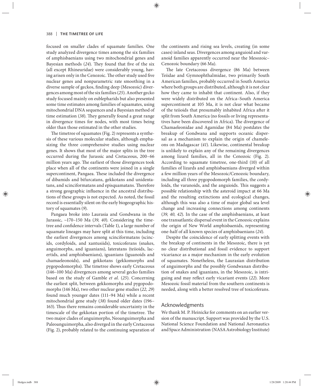focused on smaller clades of squamate families. One study analyzed divergence times among the six families of amphisbaenians using two mitochondrial genes and Bayesian methods (24). They found that five of the six (all except Rhineuridae) were considerably young, having arisen only in the Cenozoic. The other study used five nuclear genes and nonparametric rate smoothing in a diverse sample of geckos, finding deep (Mesozoic) divergences among most of the six families (*25*). Another gecko study focused mainly on eublepharids but also presented some time estimates among families of squamates, using mitochondrial DNA sequences and a Bayesian method of time estimation (38). They generally found a great range in divergence times for nodes, with most times being older than those estimated in the other studies.

The timetree of squamates (Fig. 2) represents a synthesis of these various molecular studies, although emphasizing the three comprehensive studies using nuclear genes. It shows that most of the major splits in the tree occurred during the Jurassic and Cretaceous, 200-66 million years ago. The earliest of those divergences took place when all of the continents were joined in a single supercontinent, Pangaea. These included the divergence of dibamids and bifurcatans, gekkotans and unidentatans, and scinciformatans and episquamatans. Therefore a strong geographic influence in the ancestral distributions of these groups is not expected. As noted, the fossil record is essentially silent on the early biogeographic history of squamates (*9*).

Pangaea broke into Laurasia and Gondwana in the Jurassic, ~170–150 Ma (*39, 40*). Considering the timetree and confidence intervals (Table 1), a large number of squamate lineages may have split at this time, including the earliest divergences among scinciformatans (scincids, cordyloids, and xantusiids), toxicoferans (snakes, anguimorphs, and iguanians), lateratans (teiioids, lacertids, and amphisbaenians), iguanians (iguanoids and chamaeleonoids), and gekkotans (gekkomorphs and pygopodomorphs). The timetree shows early Cretaceous (146–100 Ma) divergences among several gecko families based on the study of Gamble et al. (25). Concerning the earliest split, between gekkomorphs and pygopodomorphs (146 Ma), two other nuclear gene studies (*22, 29*) found much younger dates (111–94 Ma) while a recent mitochondrial gene study (38) found older dates (196– 163). Thus there remains considerable uncertainty in the timescale of the gekkotan portion of the timetree. The two major clades of anguimorphs, Neoanguimorpha and Paleoanguimorpha, also diverged in the early Cretaceous (Fig. 2), probably related to the continuing separation of the continents and rising sea levels, creating (in some cases) inland seas. Divergences among anguioid and varanoid families apparently occurred near the Mesozoic– Cenozoic boundary (66 Ma).

The late Cretaceous divergence (86 Ma) between Teiidae and Gymnophthalmidae, two primarily South American families, probably occurred in South America where both groups are distributed, although it is not clear how they came to inhabit that continent. Also, if they were widely distributed on the Africa-South America supercontinent at 105 Ma, it is not clear what became of the teiioids that presumably inhabited Africa after it split from South America (no fossils or living representatives have been discovered in Africa). The divergence of Chamaeleonidae and Agamidae (84 Ma) postdates the breakup of Gondwana and supports oceanic dispersal as a mechanism to explain the origin of chameleons on Madagascar (*41*). Likewise, continental breakup is unlikely to explain any of the remaining divergences among lizard families, all in the Cenozoic (Fig. 2). According to squamate timetree, one-third (10) of all families of lizards and amphisbaenians diverged within a few million years of the Mesozoic/Cenozoic boundary, including all three pygopodomorph families, the cordyloids, the varanoids, and the anguioids. This suggests a possible relationship with the asteroid impact at 66 Ma and the resulting extinctions and ecological changes, although this was also a time of major global sea level change and increasing connections among continents (*39, 40, 42*). In the case of the amphisbaenians, at least one transatlantic dispersal event in the Cenozoic explains the origin of New World amphisbaenids, representing one-half of all known species of amphisbaenians (*24*).

Despite the coincidence of early splitting events with the breakup of continents in the Mesozoic, there is yet no clear distributional and fossil evidence to support vicariance as a major mechanism in the early evolution of squamates. Nonetheless, the Laurasian distribution of anguimorphs and the possibly Gondwanan distribution of snakes and iguanians, in the Mesozoic, is intriguing and may reflect early vicariant events (22). More Mesozoic fossil material from the southern continents is needed, along with a better resolved tree of toxicoferans.

#### Acknowledgments

We thank M. P. Heinicke for comments on an earlier version of the manuscript. Support was provided by the U.S. National Science Foundation and National Aeronautics and Space Administration (NASA Astrobiology Institute)